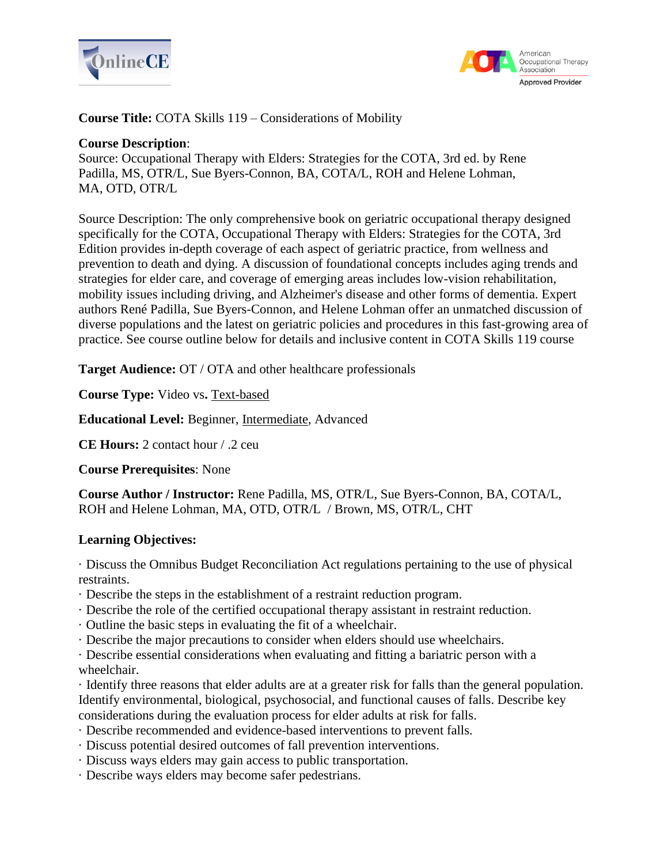



**Course Title:** COTA Skills 119 – Considerations of Mobility

#### **Course Description**:

Source: Occupational Therapy with Elders: Strategies for the COTA, 3rd ed. by Rene Padilla, MS, OTR/L, Sue Byers-Connon, BA, COTA/L, ROH and Helene Lohman, MA, OTD, OTR/L

Source Description: The only comprehensive book on geriatric occupational therapy designed specifically for the COTA, Occupational Therapy with Elders: Strategies for the COTA, 3rd Edition provides in-depth coverage of each aspect of geriatric practice, from wellness and prevention to death and dying. A discussion of foundational concepts includes aging trends and strategies for elder care, and coverage of emerging areas includes low-vision rehabilitation, mobility issues including driving, and Alzheimer's disease and other forms of dementia. Expert authors René Padilla, Sue Byers-Connon, and Helene Lohman offer an unmatched discussion of diverse populations and the latest on geriatric policies and procedures in this fast-growing area of practice. See course outline below for details and inclusive content in COTA Skills 119 course

**Target Audience:** OT / OTA and other healthcare professionals

**Course Type:** Video vs**.** Text-based

**Educational Level:** Beginner, Intermediate, Advanced

**CE Hours:** 2 contact hour / .2 ceu

**Course Prerequisites**: None

**Course Author / Instructor:** Rene Padilla, MS, OTR/L, Sue Byers-Connon, BA, COTA/L, ROH and Helene Lohman, MA, OTD, OTR/L / Brown, MS, OTR/L, CHT

#### **Learning Objectives:**

· Discuss the Omnibus Budget Reconciliation Act regulations pertaining to the use of physical restraints.

- · Describe the steps in the establishment of a restraint reduction program.
- · Describe the role of the certified occupational therapy assistant in restraint reduction.
- · Outline the basic steps in evaluating the fit of a wheelchair.
- · Describe the major precautions to consider when elders should use wheelchairs.
- · Describe essential considerations when evaluating and fitting a bariatric person with a wheelchair.

· Identify three reasons that elder adults are at a greater risk for falls than the general population. Identify environmental, biological, psychosocial, and functional causes of falls. Describe key considerations during the evaluation process for elder adults at risk for falls.

- · Describe recommended and evidence-based interventions to prevent falls.
- · Discuss potential desired outcomes of fall prevention interventions.
- · Discuss ways elders may gain access to public transportation.
- · Describe ways elders may become safer pedestrians.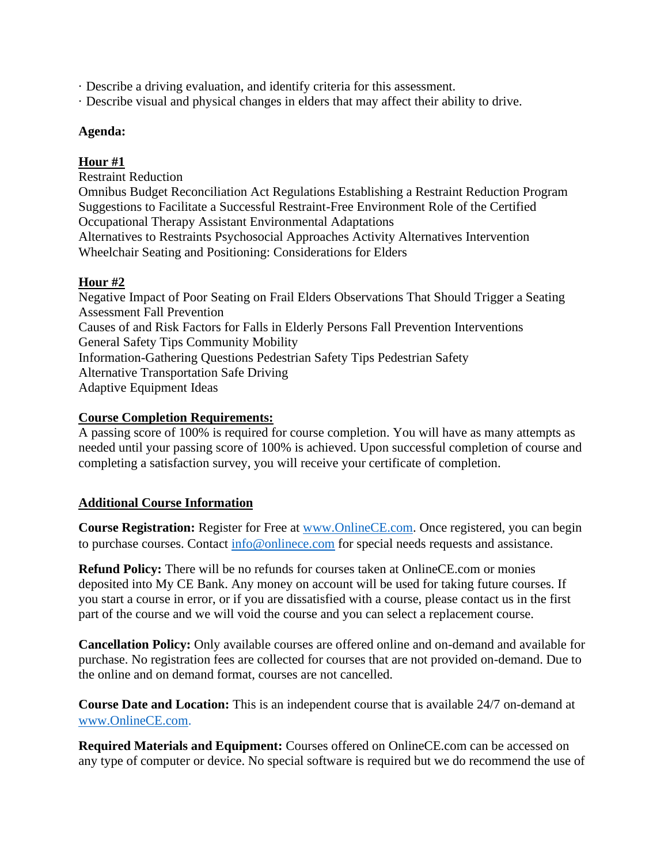· Describe a driving evaluation, and identify criteria for this assessment.

· Describe visual and physical changes in elders that may affect their ability to drive.

#### **Agenda:**

# **Hour #1**

Restraint Reduction Omnibus Budget Reconciliation Act Regulations Establishing a Restraint Reduction Program Suggestions to Facilitate a Successful Restraint-Free Environment Role of the Certified Occupational Therapy Assistant Environmental Adaptations Alternatives to Restraints Psychosocial Approaches Activity Alternatives Intervention Wheelchair Seating and Positioning: Considerations for Elders

# **Hour #2**

Negative Impact of Poor Seating on Frail Elders Observations That Should Trigger a Seating Assessment Fall Prevention Causes of and Risk Factors for Falls in Elderly Persons Fall Prevention Interventions General Safety Tips Community Mobility Information-Gathering Questions Pedestrian Safety Tips Pedestrian Safety Alternative Transportation Safe Driving Adaptive Equipment Ideas

# **Course Completion Requirements:**

A passing score of 100% is required for course completion. You will have as many attempts as needed until your passing score of 100% is achieved. Upon successful completion of course and completing a satisfaction survey, you will receive your certificate of completion.

# **Additional Course Information**

**Course Registration:** Register for Free at [www.OnlineCE.com.](http://www.onlinece.com/) Once registered, you can begin to purchase courses. Contact [info@onlinece.com](mailto:info@onlinece.com) for special needs requests and assistance.

**Refund Policy:** There will be no refunds for courses taken at OnlineCE.com or monies deposited into My CE Bank. Any money on account will be used for taking future courses. If you start a course in error, or if you are dissatisfied with a course, please contact us in the first part of the course and we will void the course and you can select a replacement course.

**Cancellation Policy:** Only available courses are offered online and on-demand and available for purchase. No registration fees are collected for courses that are not provided on-demand. Due to the online and on demand format, courses are not cancelled.

**Course Date and Location:** This is an independent course that is available 24/7 on-demand at [www.OnlineCE.com.](http://www.onlinece.com/)

**Required Materials and Equipment:** Courses offered on OnlineCE.com can be accessed on any type of computer or device. No special software is required but we do recommend the use of